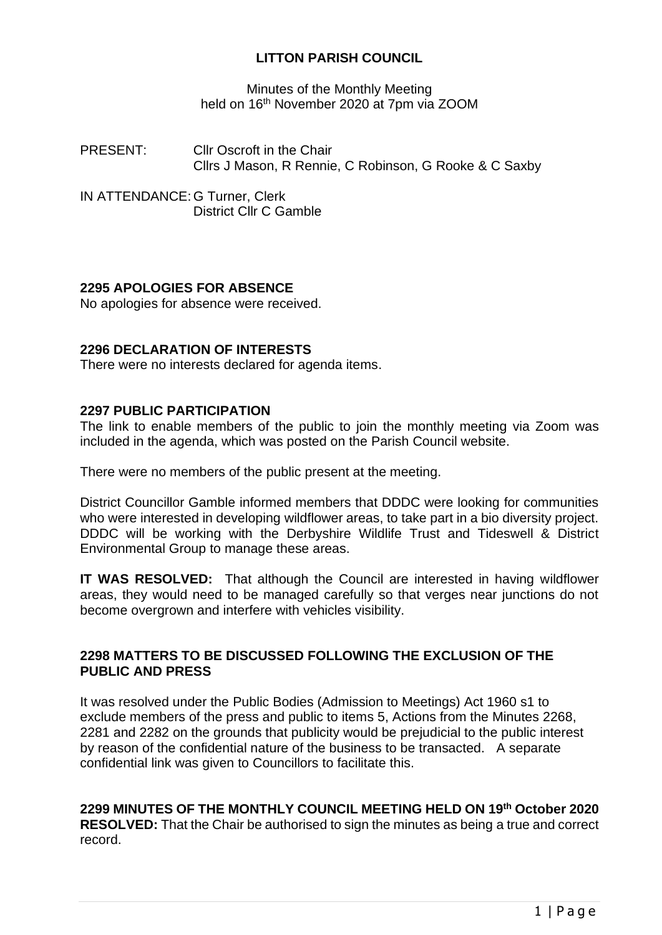# **LITTON PARISH COUNCIL**

Minutes of the Monthly Meeting held on 16<sup>th</sup> November 2020 at 7pm via ZOOM

PRESENT: Cllr Oscroft in the Chair Cllrs J Mason, R Rennie, C Robinson, G Rooke & C Saxby

IN ATTENDANCE: G Turner, Clerk District Cllr C Gamble

# **2295 APOLOGIES FOR ABSENCE**

No apologies for absence were received.

# **2296 DECLARATION OF INTERESTS**

There were no interests declared for agenda items.

#### **2297 PUBLIC PARTICIPATION**

The link to enable members of the public to join the monthly meeting via Zoom was included in the agenda, which was posted on the Parish Council website.

There were no members of the public present at the meeting.

District Councillor Gamble informed members that DDDC were looking for communities who were interested in developing wildflower areas, to take part in a bio diversity project. DDDC will be working with the Derbyshire Wildlife Trust and Tideswell & District Environmental Group to manage these areas.

**IT WAS RESOLVED:** That although the Council are interested in having wildflower areas, they would need to be managed carefully so that verges near junctions do not become overgrown and interfere with vehicles visibility.

# **2298 MATTERS TO BE DISCUSSED FOLLOWING THE EXCLUSION OF THE PUBLIC AND PRESS**

It was resolved under the Public Bodies (Admission to Meetings) Act 1960 s1 to exclude members of the press and public to items 5, Actions from the Minutes 2268, 2281 and 2282 on the grounds that publicity would be prejudicial to the public interest by reason of the confidential nature of the business to be transacted. A separate confidential link was given to Councillors to facilitate this.

# **2299 MINUTES OF THE MONTHLY COUNCIL MEETING HELD ON 19th October 2020**

**RESOLVED:** That the Chair be authorised to sign the minutes as being a true and correct record.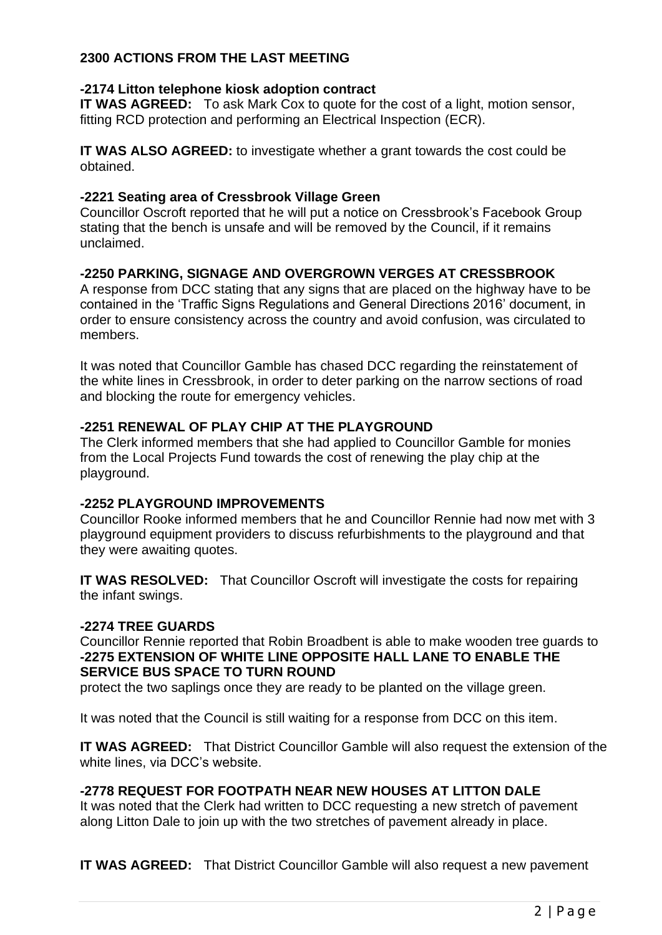# **2300 ACTIONS FROM THE LAST MEETING**

# **-2174 Litton telephone kiosk adoption contract**

**IT WAS AGREED:** To ask Mark Cox to quote for the cost of a light, motion sensor, fitting RCD protection and performing an Electrical Inspection (ECR).

**IT WAS ALSO AGREED:** to investigate whether a grant towards the cost could be obtained.

#### **-2221 Seating area of Cressbrook Village Green**

Councillor Oscroft reported that he will put a notice on Cressbrook's Facebook Group stating that the bench is unsafe and will be removed by the Council, if it remains unclaimed.

# **-2250 PARKING, SIGNAGE AND OVERGROWN VERGES AT CRESSBROOK**

A response from DCC stating that any signs that are placed on the highway have to be contained in the 'Traffic Signs Regulations and General Directions 2016' document, in order to ensure consistency across the country and avoid confusion, was circulated to members.

It was noted that Councillor Gamble has chased DCC regarding the reinstatement of the white lines in Cressbrook, in order to deter parking on the narrow sections of road and blocking the route for emergency vehicles.

## **-2251 RENEWAL OF PLAY CHIP AT THE PLAYGROUND**

The Clerk informed members that she had applied to Councillor Gamble for monies from the Local Projects Fund towards the cost of renewing the play chip at the playground.

# **-2252 PLAYGROUND IMPROVEMENTS**

Councillor Rooke informed members that he and Councillor Rennie had now met with 3 playground equipment providers to discuss refurbishments to the playground and that they were awaiting quotes.

**IT WAS RESOLVED:** That Councillor Oscroft will investigate the costs for repairing the infant swings.

#### **-2274 TREE GUARDS**

Councillor Rennie reported that Robin Broadbent is able to make wooden tree guards to **-2275 EXTENSION OF WHITE LINE OPPOSITE HALL LANE TO ENABLE THE SERVICE BUS SPACE TO TURN ROUND** 

protect the two saplings once they are ready to be planted on the village green.

It was noted that the Council is still waiting for a response from DCC on this item.

**IT WAS AGREED:** That District Councillor Gamble will also request the extension of the white lines, via DCC's website.

# **-2778 REQUEST FOR FOOTPATH NEAR NEW HOUSES AT LITTON DALE**

It was noted that the Clerk had written to DCC requesting a new stretch of pavement along Litton Dale to join up with the two stretches of pavement already in place.

**IT WAS AGREED:** That District Councillor Gamble will also request a new pavement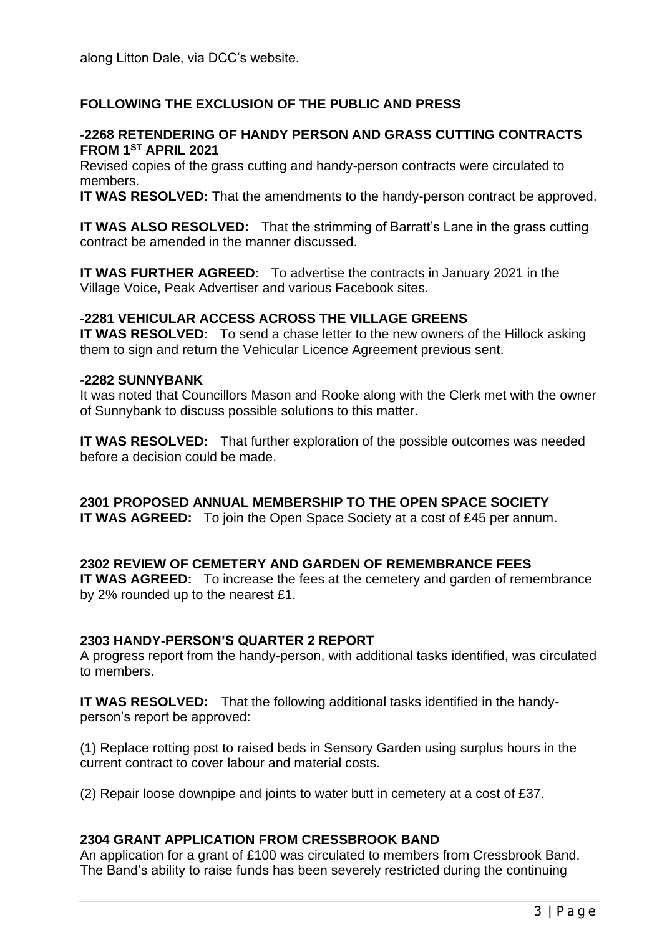# **FOLLOWING THE EXCLUSION OF THE PUBLIC AND PRESS**

#### **-2268 RETENDERING OF HANDY PERSON AND GRASS CUTTING CONTRACTS FROM 1ST APRIL 2021**

Revised copies of the grass cutting and handy-person contracts were circulated to members.

**IT WAS RESOLVED:** That the amendments to the handy-person contract be approved.

**IT WAS ALSO RESOLVED:** That the strimming of Barratt's Lane in the grass cutting contract be amended in the manner discussed.

**IT WAS FURTHER AGREED:** To advertise the contracts in January 2021 in the Village Voice, Peak Advertiser and various Facebook sites.

# **-2281 VEHICULAR ACCESS ACROSS THE VILLAGE GREENS**

**IT WAS RESOLVED:** To send a chase letter to the new owners of the Hillock asking them to sign and return the Vehicular Licence Agreement previous sent.

#### **-2282 SUNNYBANK**

It was noted that Councillors Mason and Rooke along with the Clerk met with the owner of Sunnybank to discuss possible solutions to this matter.

**IT WAS RESOLVED:** That further exploration of the possible outcomes was needed before a decision could be made.

**2301 PROPOSED ANNUAL MEMBERSHIP TO THE OPEN SPACE SOCIETY IT WAS AGREED:** To join the Open Space Society at a cost of £45 per annum.

# **2302 REVIEW OF CEMETERY AND GARDEN OF REMEMBRANCE FEES**

**IT WAS AGREED:** To increase the fees at the cemetery and garden of remembrance by 2% rounded up to the nearest £1.

# **2303 HANDY-PERSON'S QUARTER 2 REPORT**

A progress report from the handy-person, with additional tasks identified, was circulated to members.

**IT WAS RESOLVED:** That the following additional tasks identified in the handyperson's report be approved:

(1) Replace rotting post to raised beds in Sensory Garden using surplus hours in the current contract to cover labour and material costs.

(2) Repair loose downpipe and joints to water butt in cemetery at a cost of £37.

# **2304 GRANT APPLICATION FROM CRESSBROOK BAND**

An application for a grant of £100 was circulated to members from Cressbrook Band. The Band's ability to raise funds has been severely restricted during the continuing